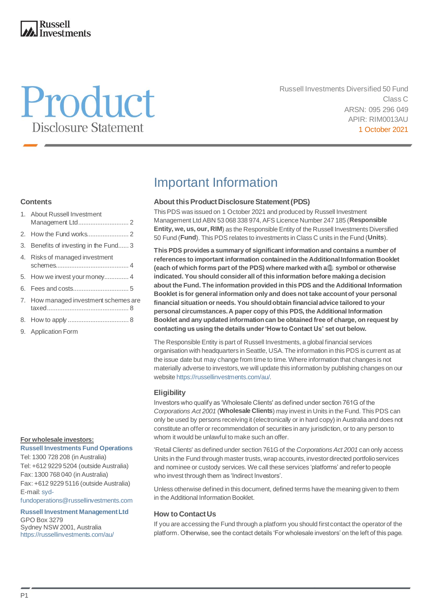### **Russell Investments**

# Product **Disclosure Statement**

Russell Investments Diversified 50 Fund Class C ARSN: 095 296 049 APIR: RIM0013AU 1 October 2021

### **Contents**

| 1. About Russell Investment            |
|----------------------------------------|
|                                        |
| 3. Benefits of investing in the Fund 3 |
| 4. Risks of managed investment         |
|                                        |
|                                        |
| 7. How managed investment schemes are  |
|                                        |
| 9. Application Form                    |

#### **For wholesale investors:**

**Russell Investments Fund Operations**  Tel: 1300 728 208 (in Australia) Tel: +612 9229 5204 (outside Australia) Fax: 1300 768 040 (in Australia) Fax: +612 9229 5116 (outside Australia) E-mail[: syd](mailto:syd-fundoperations@russellinvestments.com)[fundoperations@russellinvestments.com](mailto:syd-fundoperations@russellinvestments.com)

**Russell Investment Management Ltd** GPO Box 3279 Sydney NSW 2001, Australia <https://russellinvestments.com/au/>

## Important Information

### **About this Product Disclosure Statement (PDS)**

This PDS was issued on 1 October 2021 and produced by Russell Investment Management Ltd ABN 53 068 338 974, AFS Licence Number 247 185 (**Responsible Entity, we, us, our, RIM**) as the Responsible Entity of the Russell Investments Diversified 50 Fund (**Fund**). This PDS relates to investments in Class C units in the Fund (**Units**).

**This PDS provides a summary of significant information and contains a number of references to important information contained in the Additional Information Booklet (each of which forms part of the PDS) where marked with a**  $\oplus$  **symbol or otherwise indicated. You should consider all of this information before making a decision about the Fund. The information provided in this PDS and the Additional Information Booklet is for general information only and does not take account of your personal financial situation or needs. You should obtain financial advice tailored to your personal circumstances.A paper copy of this PDS, the Additional Information Booklet and any updated informationcan be obtained free of charge, on request by contacting us using the details under 'How to Contact Us' set out below.**

The Responsible Entity is part of Russell Investments, a global financial services organisation with headquarters in Seattle, USA. The information in this PDS is current as at the issue date but may change from time to time. Where information that changes is not materially adverse to investors, we will update this information by publishing changes on our websit[e https://russellinvestments.com/au/.](https://russellinvestments.com/au/)

### **Eligibility**

Investors who qualify as 'Wholesale Clients' as defined under section 761G of the *Corporations Act 2001* (**Wholesale Clients**) may invest in Units in the Fund. This PDS can only be used by persons receiving it (electronically or in hard copy) in Australia and does not constitute an offer or recommendation of securities in any jurisdiction, or to any person to whom it would be unlawful to make such an offer.

'Retail Clients' as defined under section 761G of the *Corporations Act 2001* can only access Units in the Fund through master trusts, wrap accounts, investor directed portfolio services and nominee or custody services. We call these services 'platforms' and refer to people who invest through them as 'Indirect Investors'.

Unless otherwise defined in this document, defined terms have the meaning given to them in the Additional Information Booklet.

### **How to Contact Us**

If you are accessing the Fund through a platform you should first contact the operator of the platform. Otherwise, see the contact details 'For wholesale investors' on the left of this page.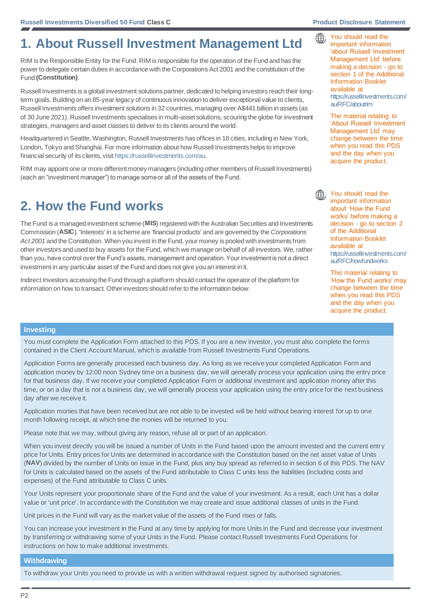$\bigoplus$ 

### **1. About Russell Investment Management Ltd**

RIM is the Responsible Entity for the Fund. RIM is responsible for the operation of the Fund and has the power to delegate certain duties in accordance with the Corporations Act 2001 and the constitution of the Fund **(Constitution)**.

Russell Investments is a global investment solutions partner, dedicated to helping investors reach their longterm goals. Building on an 85-year legacy of continuous innovation to deliver exceptional value to clients, Russell Investments offers investment solutions in 32 countries, managing over A\$441 billion in assets (as of 30 June 2021). Russell Investments specialises in multi-asset solutions, scouring the globe for investment strategies, managers and asset classes to deliver to its clients around the world.

Headquartered in Seattle, Washington, Russell Investments has offices in 18 cities, including in New York, London, Tokyo and Shanghai. For more information about how Russell Investments helps to improve financial security of its clients, visi[t https://russellinvestments.com/au](https://russellinvestments.com/au).

RIM may appoint one or more different money managers (including other members of Russell Investments) (each an "investment manager") to manage some or all of the assets of the Fund.

### **2. How the Fund works**

The Fund is a managed investment scheme (**MIS**) registered with the Australian Securities and Investments Commission (**ASIC**). 'Interests' in a scheme are 'financial products' and are governed by the *Corporations Act 2001* and the Constitution. When you invest in the Fund, your money is pooled with investments from other investors and used to buy assets for the Fund, which we manage on behalf of all investors. We, rather than you, have control over the Fund's assets, management and operation. Your investment is not a direct investment in any particular asset of the Fund and does not give you an interest in it.

Indirect Investors accessing the Fund through a platform should contact the operator of the platform for information on how to transact. Other investors should refer to the information below.

You should read the important information 'about Russell Investment Management Ltd' before making a decision - go to section 1 of the Additional Information Booklet available at [https://russellinvestments.com/](https://russellinvestments.com/au/RF) [au/RFC](https://russellinvestments.com/au/RF)/aboutrim

The material relating to 'About Russell Investment Management Ltd' may change between the time when you read this PDS and the day when you acquire the product.

You should read the important information about 'How the Fund works' before making a decision - go to section 2 of the Additional Information Booklet available at [https://russellinvestments.com/](https://russellinvestments.com/au/RFC/howfundworks) [au/RFC/howfundworks](https://russellinvestments.com/au/RFC/howfundworks)

This material relating to 'How the Fund works' may change between the time when you read this PDS and the day when you acquire the product.

#### **Investing**

You must complete the Application Form attached to this PDS. If you are a new investor, you must also complete the forms contained in the Client Account Manual, which is available from Russell Investments Fund Operations.

Application Forms are generally processed each business day. As long as we receive your completed Application Form and application money by 12:00 noon Sydney time on a business day, we will generally process your application using the entry price for that business day. If we receive your completed Application Form or additional investment and application money after this time, or on a day that is not a business day, we will generally process your application using the entry price for the next business day after we receive it.

Application monies that have been received but are not able to be invested will be held without bearing interest for up to one month following receipt, at which time the monies will be returned to you.

Please note that we may, without giving any reason, refuse all or part of an application.

When you invest directly you will be issued a number of Units in the Fund based upon the amount invested and the current entry price for Units. Entry prices for Units are determined in accordance with the Constitution based on the net asset value of Units (**NAV**) divided by the number of Units on issue in the Fund, plus any buy spread as referred to in section 6 of this PDS. The NAV for Units is calculated based on the assets of the Fund attributable to Class C units less the liabilities (including costs and expenses) of the Fund attributable to Class C units.

Your Units represent your proportionate share of the Fund and the value of your investment. As a result, each Unit has a dollar value or 'unit price'. In accordance with the Constitution we may create and issue additional classes of units in the Fund.

Unit prices in the Fund will vary as the market value of the assets of the Fund rises or falls.

You can increase your investment in the Fund at any time by applying for more Units in the Fund and decrease your investment by transferring or withdrawing some of your Units in the Fund. Please contact Russell Investments Fund Operations for instructions on how to make additional investments.

#### **Withdrawing**

To withdraw your Units you need to provide us with a written withdrawal request signed by authorised signatories.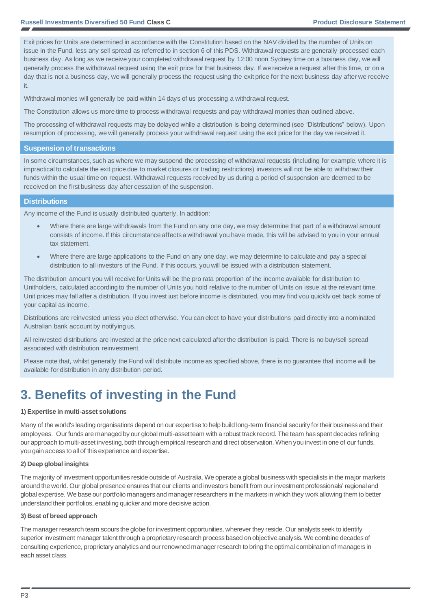Exit prices for Units are determined in accordance with the Constitution based on the NAV divided by the number of Units on issue in the Fund, less any sell spread as referred to in section 6 of this PDS. Withdrawal requests are generally processed each business day. As long as we receive your completed withdrawal request by 12:00 noon Sydney time on a business day, we will generally process the withdrawal request using the exit price for that business day. If we receive a request after this time, or on a day that is not a business day, we will generally process the request using the exit price for the next business day after we receive it.

Withdrawal monies will generally be paid within 14 days of us processing a withdrawal request.

The Constitution allows us more time to process withdrawal requests and pay withdrawal monies than outlined above.

The processing of withdrawal requests may be delayed while a distribution is being determined (see "Distributions" below). Upon resumption of processing, we will generally process your withdrawal request using the exit price for the day we received it.

#### **Suspension of transactions**

In some circumstances, such as where we may suspend the processing of withdrawal requests (including for example, where it is impractical to calculate the exit price due to market closures or trading restrictions) investors will not be able to withdraw their funds within the usual time on request. Withdrawal requests received by us during a period of suspension are deemed to be received on the first business day after cessation of the suspension.

#### **Distributions**

Any income of the Fund is usually distributed quarterly. In addition:

- Where there are large withdrawals from the Fund on any one day, we may determine that part of a withdrawal amount consists of income. If this circumstance affects a withdrawal you have made, this will be advised to you in your annual tax statement.
- Where there are large applications to the Fund on any one day, we may determine to calculate and pay a special distribution to all investors of the Fund. If this occurs, you will be issued with a distribution statement.

The distribution amount you will receive for Units will be the pro rata proportion of the income available for distribution to Unitholders, calculated according to the number of Units you hold relative to the number of Units on issue at the relevant time. Unit prices may fall after a distribution. If you invest just before income is distributed, you may find you quickly get back some of your capital as income.

Distributions are reinvested unless you elect otherwise. You can elect to have your distributions paid directly into a nominated Australian bank account by notifying us.

All reinvested distributions are invested at the price next calculated after the distribution is paid. There is no buy/sell spread associated with distribution reinvestment.

Please note that, whilst generally the Fund will distribute income as specified above, there is no guarantee that income will be available for distribution in any distribution period.

### **3. Benefits of investing in the Fund**

#### **1) Expertise in multi-asset solutions**

Many of the world's leading organisations depend on our expertise to help build long-term financial security for their business and their employees. Our funds are managed by our global multi-asset team with a robust track record. The team has spent decades refining our approach to multi-asset investing, both through empirical research and direct observation. When you invest in one of our funds, you gain access to all of this experience and expertise.

#### **2) Deep global insights**

The majority of investment opportunities reside outside of Australia. We operate a global business with specialists in the major markets around the world. Our global presence ensures that our clients and investors benefit from our investment professionals' regional and global expertise. We base our portfolio managers and manager researchers in the markets in which they work allowing them to better understand their portfolios, enabling quicker and more decisive action.

#### **3) Best of breed approach**

The manager research team scours the globe for investment opportunities, wherever they reside. Our analysts seek to identify superior investment manager talent through a proprietary research process based on objective analysis. We combine decades of consulting experience, proprietary analytics and our renowned manager research to bring the optimal combination of managers in each asset class.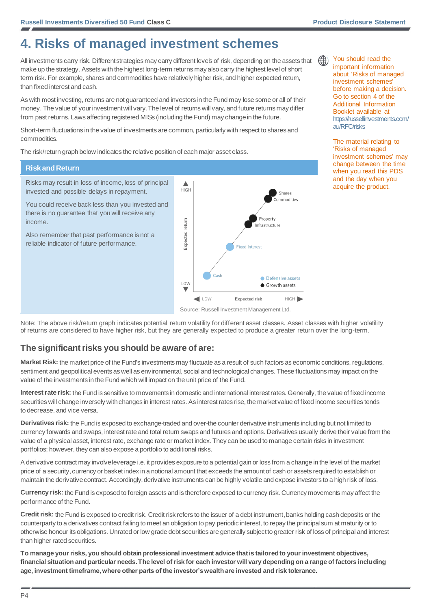### **4. Risks of managed investment schemes**

All investments carry risk. Different strategies may carry different levels of risk, depending on the assets that make up the strategy. Assets with the highest long-term returns may also carry the highest level of short term risk. For example, shares and commodities have relatively higher risk, and higher expected return, than fixed interest and cash.

As with most investing, returns are not guaranteed and investors in the Fund may lose some or all of their money. The value of your investment will vary. The level of returns will vary, and future returns may differ from past returns. Laws affecting registered MISs (including the Fund) may change in the future.

Short-term fluctuations in the value of investments are common, particularly with respect to shares and commodities.

The risk/return graph below indicates the relative position of each major asset class.

### **Risk and Return**

Risks may result in loss of income, loss of principal invested and possible delays in repayment.

You could receive back less than you invested and there is no guarantee that you will receive any income.

Also remember that past performance is not a reliable indicator of future performance.



Note: The above risk/return graph indicates potential return volatility for different asset classes. Asset classes with higher volatility of returns are considered to have higher risk, but they are generally expected to produce a greater return over the long-term.

### **The significant risks you should be aware of are:**

**Market Risk:** the market price of the Fund's investments may fluctuate as a result of such factors as economic conditions, regulations, sentiment and geopolitical events as well as environmental, social and technological changes. These fluctuations may impact on the value of the investments in the Fund which will impact on the unit price of the Fund.

**Interest rate risk:** the Fund is sensitive to movements in domestic and international interest rates. Generally, the value of fixed income securities will change inversely with changes in interest rates. As interest rates rise, the market value of fixed income securities tends to decrease, and vice versa.

**Derivatives risk:** the Fund is exposed to exchange-traded and over-the counter derivative instruments including but not limited to currency forwards and swaps, interest rate and total return swaps and futures and options. Derivatives usually derive their value from the value of a physical asset, interest rate, exchange rate or market index. They can be used to manage certain risks in investment portfolios; however, they can also expose a portfolio to additional risks.

A derivative contract may involve leverage i.e. it provides exposure to a potential gain or loss from a change in the level of the market price of a security, currency or basket index in a notional amount that exceeds the amount of cash or assets required to establish or maintain the derivative contract. Accordingly, derivative instruments can be highly volatile and expose investors to a high risk of loss.

**Currency risk:** the Fund is exposed to foreign assets and is therefore exposed to currency risk. Currency movements may affect the performance of the Fund.

**Credit risk:** the Fund is exposed to credit risk. Credit risk refers to the issuer of a debt instrument, banks holding cash deposits or the counterparty to a derivatives contract failing to meet an obligation to pay periodic interest, to repay the principal sum at maturity or to otherwise honour its obligations. Unrated or low grade debt securities are generally subject to greater risk of loss of principal and interest than higher rated securities.

**To manage your risks, you should obtain professional investment advice that is tailored to your investment objectives, financial situation and particular needs. The level of risk for each investor will vary depending on a range of factors including age, investment timeframe, where other parts of the investor's wealth are invested and risk tolerance.**



important information about 'Risks of managed investment schemes' before making a decision. Go to section 4 of the Additional Information Booklet available at [https://russellinvestments.com/](https://russellinvestments.com/au/RFC/risks) [au/RFC/risks](https://russellinvestments.com/au/RFC/risks)

The material relating to 'Risks of managed investment schemes' may change between the time when you read this PDS and the day when you acquire the product.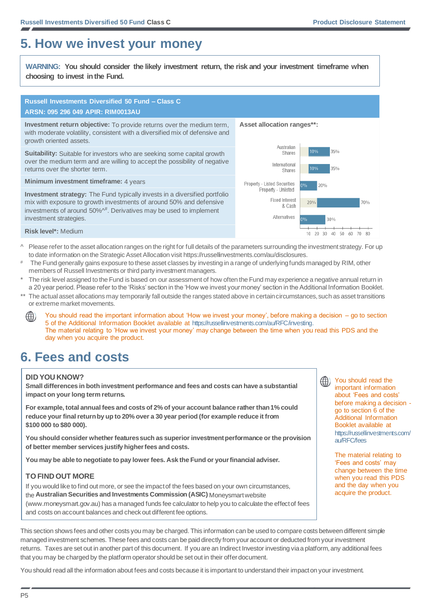### **5. How we invest your money**

**WARNING: You should consider the likely investment return, the risk and your investment timeframe when choosing to invest in the Fund.**

### **Russell Investments Diversified 50 Fund – Class C ARSN: 095 296 049 APIR: RIM0013AU**

**Investment return objective:** To provide returns over the medium term, with moderate volatility, consistent with a diversified mix of defensive and growth oriented assets.

**Suitability:** Suitable for investors who are seeking some capital growth over the medium term and are willing to accept the possibility of negative returns over the shorter term.

**Minimum investment timeframe:** 4 years

**Investment strategy:** The Fund typically invests in a diversified portfolio mix with exposure to growth investments of around 50% and defensive investments of around 50%<sup>4#</sup>. Derivatives may be used to implement investment strategies.

**Asset allocation ranges\*\*:**



**Risk level\*:** Medium

- ^ Please refer to the asset allocation ranges on the right for full details of the parameters surrounding the investment strategy. For up to date information on the Strategic Asset Allocation visi[t https://russellinvestments.com/au/disclosures.](https://russellinvestments.com/au/disclosures)
- The Fund generally gains exposure to these asset classes by investing in a range of underlying funds managed by RIM, other members of Russell Investments or third party investment managers.
- The risk level assigned to the Fund is based on our assessment of how often the Fund may experience a negative annual return in a 20 year period. Please refer to the 'Risks' section in the 'How we invest your money' section in the Additional Information Booklet.
- The actual asset allocations may temporarily fall outside the ranges stated above in certain circumstances, such as asset transitions or extreme market movements.
- You should read the important information about 'How we invest your money', before making a decision go to section (() 5 of the Additional Information Booklet available at [https://russellinvestments.com/au/RFC/investing.](https://russellinvestments.com/au/RFC/investing) The material relating to 'How we invest your money' may change between the time when you read this PDS and the day when you acquire the product.

### **6. Fees and costs**

### **DID YOU KNOW?**

**Small differences in both investment performance and fees and costs can have a substantial impact on your long term returns.**

**For example, total annual fees and costs of 2% of your account balance rather than 1% could reduce your final return by up to 20% over a 30 year period (for example reduce it from \$100 000 to \$80 000).**

**You should consider whether features such as superior investment performance or the provision of better member services justify higher fees and costs.**

**You may be able to negotiate to pay lower fees. Ask the Fund or your financial adviser.**

### **TO FIND OUT MORE**

If you would like to find out more, or see the impact of the fees based on your own circumstances, the **Australian Securities and Investments Commission (ASIC)** Moneysmart website (www.moneysmart.gov.au) has a managed funds fee calculator to help you to calculate the effect of fees and costs on account balances and check out different fee options.

This section shows fees and other costs you may be charged. This information can be used to compare costs between different simple managed investment schemes. These fees and costs can be paid directly from your account or deducted from your investment returns. Taxes are set out in another part of this document. If you are an Indirect Investor investing via a platform, any additional fees that you may be charged by the platform operator should be set out in their offer document.

You should read all the information about fees and costs because it is important to understand their impact on your investment.



(()) You should read the important information about 'Fees and costs' before making a decision go to section 6 of the Additional Information Booklet available at [https://russellinvestments.com/](https://russellinvestments.com/au/RFC/fees) [au/RFC/fees](https://russellinvestments.com/au/RFC/fees)

> The material relating to 'Fees and costs' may change between the time when you read this PDS and the day when you acquire the product.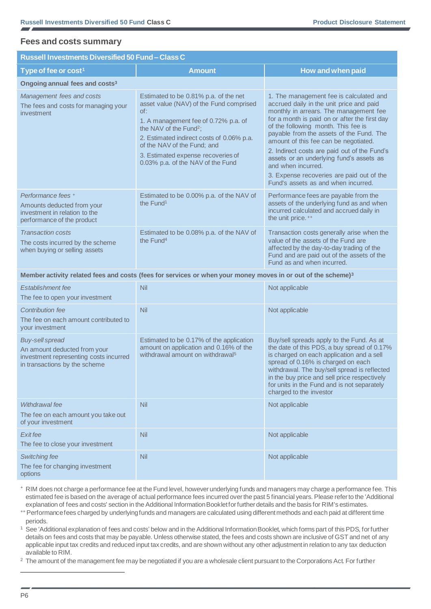### **Fees and costs summary**

### **Russell Investments Diversified 50 Fund – Class C**

| Type of fee or cost <sup>1</sup>                                                                                                  | <b>Amount</b>                                                                                                                                                                                                                                                                                                                | How and when paid                                                                                                                                                                                                                                                                                                                                                                                                                                                                                                |
|-----------------------------------------------------------------------------------------------------------------------------------|------------------------------------------------------------------------------------------------------------------------------------------------------------------------------------------------------------------------------------------------------------------------------------------------------------------------------|------------------------------------------------------------------------------------------------------------------------------------------------------------------------------------------------------------------------------------------------------------------------------------------------------------------------------------------------------------------------------------------------------------------------------------------------------------------------------------------------------------------|
| Ongoing annual fees and costs <sup>3</sup>                                                                                        |                                                                                                                                                                                                                                                                                                                              |                                                                                                                                                                                                                                                                                                                                                                                                                                                                                                                  |
| Management fees and costs<br>The fees and costs for managing your<br>investment                                                   | Estimated to be 0.81% p.a. of the net<br>asset value (NAV) of the Fund comprised<br>of:<br>1. A management fee of 0.72% p.a. of<br>the NAV of the Fund <sup>2</sup> ;<br>2. Estimated indirect costs of 0.06% p.a.<br>of the NAV of the Fund; and<br>3. Estimated expense recoveries of<br>0.03% p.a. of the NAV of the Fund | 1. The management fee is calculated and<br>accrued daily in the unit price and paid<br>monthly in arrears. The management fee<br>for a month is paid on or after the first day<br>of the following month. This fee is<br>payable from the assets of the Fund. The<br>amount of this fee can be negotiated.<br>2. Indirect costs are paid out of the Fund's<br>assets or an underlying fund's assets as<br>and when incurred.<br>3. Expense recoveries are paid out of the<br>Fund's assets as and when incurred. |
| Performance fees +<br>Amounts deducted from your<br>investment in relation to the<br>performance of the product                   | Estimated to be 0.00% p.a. of the NAV of<br>the Fund <sup>1</sup>                                                                                                                                                                                                                                                            | Performance fees are payable from the<br>assets of the underlying fund as and when<br>incurred calculated and accrued daily in<br>the unit price. **                                                                                                                                                                                                                                                                                                                                                             |
| <b>Transaction costs</b><br>The costs incurred by the scheme<br>when buying or selling assets                                     | Estimated to be 0.08% p.a. of the NAV of<br>the Fund <sup>4</sup>                                                                                                                                                                                                                                                            | Transaction costs generally arise when the<br>value of the assets of the Fund are<br>affected by the day-to-day trading of the<br>Fund and are paid out of the assets of the<br>Fund as and when incurred.                                                                                                                                                                                                                                                                                                       |
|                                                                                                                                   | Member activity related fees and costs (fees for services or when your money moves in or out of the scheme) <sup>3</sup>                                                                                                                                                                                                     |                                                                                                                                                                                                                                                                                                                                                                                                                                                                                                                  |
| Establishment fee<br>The fee to open your investment                                                                              | Nil                                                                                                                                                                                                                                                                                                                          | Not applicable                                                                                                                                                                                                                                                                                                                                                                                                                                                                                                   |
| Contribution fee<br>The fee on each amount contributed to<br>your investment                                                      | Nil                                                                                                                                                                                                                                                                                                                          | Not applicable                                                                                                                                                                                                                                                                                                                                                                                                                                                                                                   |
| <b>Buy-sell spread</b><br>An amount deducted from your<br>investment representing costs incurred<br>in transactions by the scheme | Estimated to be 0.17% of the application<br>amount on application and 0.16% of the<br>withdrawal amount on withdrawal <sup>5</sup>                                                                                                                                                                                           | Buy/sell spreads apply to the Fund. As at<br>the date of this PDS, a buy spread of 0.17%<br>is charged on each application and a sell<br>spread of 0.16% is charged on each<br>withdrawal. The buy/sell spread is reflected<br>in the buy price and sell price respectively<br>for units in the Fund and is not separately<br>charged to the investor                                                                                                                                                            |
| Withdrawal fee<br>The fee on each amount you take out<br>of your investment                                                       | Nil                                                                                                                                                                                                                                                                                                                          | Not applicable                                                                                                                                                                                                                                                                                                                                                                                                                                                                                                   |
| Exit fee<br>The fee to close your investment                                                                                      | Nil                                                                                                                                                                                                                                                                                                                          | Not applicable                                                                                                                                                                                                                                                                                                                                                                                                                                                                                                   |
| Switching fee<br>The fee for changing investment<br>options                                                                       | Nil                                                                                                                                                                                                                                                                                                                          | Not applicable                                                                                                                                                                                                                                                                                                                                                                                                                                                                                                   |

<sup>+</sup>RIM does not charge a performance fee at the Fund level, however underlying funds and managers may charge a performance fee. This estimated fee is based on the average of actual performance fees incurred over the past 5 financial years. Please refer to the 'Additional explanation of fees and costs' section in the Additional Information Booklet for further details and the basis for RIM's estimates.

++ Performance fees charged by underlying funds and managers are calculated using different methods and each paid at different time periods.

See 'Additional explanation of fees and costs' below and in the Additional Information Booklet, which forms part of this PDS, for further details on fees and costs that may be payable. Unless otherwise stated, the fees and costs shown are inclusive of GST and net of any applicable input tax credits and reduced input tax credits, and are shown without any other adjustment in relation to any tax deduction available to RIM.

<sup>2</sup> The amount of the management fee may be negotiated if you are a wholesale client pursuant to the Corporations Act. For further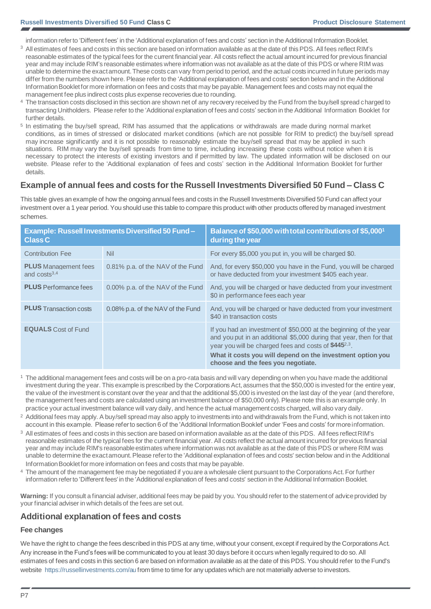information refer to 'Different fees' in the 'Additional explanation of fees and costs' section in the Additional Information Booklet.

- <sup>3</sup> All estimates of fees and costs in this section are based on information available as at the date of this PDS. All fees reflect RIM's reasonable estimates of the typical fees for the current financial year. All costs reflect the actual amount incurred for previous financial year and may include RIM's reasonable estimates where information was not available as at the date of this PDS or where RIM was unable to determine the exact amount. These costs can vary from period to period, and the actual costs incurred in future periods may differ from the numbers shown here. Please refer to the 'Additional explanation of fees and costs' section below and in the Additional Information Booklet for more information on fees and costs that may be payable. Management fees and costs may not equal the management fee plus indirect costs plus expense recoveries due to rounding.
- 4 The transaction costs disclosed in this section are shown net of any recovery received by the Fund from the buy/sell spread charged to transacting Unitholders. Please refer to the 'Additional explanation of fees and costs' section in the Additional Information Booklet for further details.
- <sup>5</sup> In estimating the buy/sell spread, RIM has assumed that the applications or withdrawals are made during normal market conditions, as in times of stressed or dislocated market conditions (which are not possible for RIM to predict) the buy/sell spread may increase significantly and it is not possible to reasonably estimate the buy/sell spread that may be applied in such situations. RIM may vary the buy/sell spreads from time to time, including increasing these costs without notice when it is necessary to protect the interests of existing investors and if permitted by law. The updated information will be disclosed on our website. Please refer to the 'Additional explanation of fees and costs' section in the Additional Information Booklet for further details.

### **Example of annual fees and costs for the Russell Investments Diversified 50 Fund – Class C**

This table gives an example of how the ongoing annual fees and costs in the Russell Investments Diversified 50 Fund can affect your investment over a 1 year period. You should use this table to compare this product with other products offered by managed investment schemes.

| <b>Class C</b>                                | <b>Example: Russell Investments Diversified 50 Fund-</b> | Balance of \$50,000 with total contributions of \$5,000 <sup>1</sup><br>during the year                                                                                                                                                                                                                            |
|-----------------------------------------------|----------------------------------------------------------|--------------------------------------------------------------------------------------------------------------------------------------------------------------------------------------------------------------------------------------------------------------------------------------------------------------------|
| <b>Contribution Fee</b>                       | <b>Nil</b>                                               | For every \$5,000 you put in, you will be charged \$0.                                                                                                                                                                                                                                                             |
| <b>PLUS</b> Management fees<br>and $costs3,4$ | 0.81% p.a. of the NAV of the Fund                        | And, for every \$50,000 you have in the Fund, you will be charged<br>or have deducted from your investment \$405 each year.                                                                                                                                                                                        |
| <b>PLUS</b> Performance fees                  | 0.00% p.a. of the NAV of the Fund                        | And, you will be charged or have deducted from your investment<br>\$0 in performance fees each year                                                                                                                                                                                                                |
| <b>PLUS</b> Transaction costs                 | 0.08% p.a. of the NAV of the Fund                        | And, you will be charged or have deducted from your investment<br>\$40 in transaction costs                                                                                                                                                                                                                        |
| <b>EQUALS</b> Cost of Fund                    |                                                          | If you had an investment of \$50,000 at the beginning of the year<br>and you put in an additional \$5,000 during that year, then for that<br>year you will be charged fees and costs of \$445 <sup>2,3</sup> .<br>What it costs you will depend on the investment option you<br>choose and the fees you negotiate. |

- <sup>1</sup>The additional management fees and costs will be on a pro-rata basis and will vary depending on when you have made the additional investment during the year. This example is prescribed by the Corporations Act, assumes that the \$50,000 is invested for the entire year, the value of the investment is constant over the year and that the additional \$5,000 is invested on the last day of the year (and therefore, the management fees and costs are calculated using an investment balance of \$50,000 only). Please note this is an example only. In practice your actual investment balance will vary daily, and hence the actual management costs charged, will also vary daily.
- <sup>2</sup> Additional fees may apply. A buy/sell spread may also apply to investments into and withdrawals from the Fund, which is not taken into account in this example. Please refer to section 6 of the 'Additional Information Booklet' under 'Fees and costs' for more information.
- <sup>3</sup> All estimates of fees and costs in this section are based on information available as at the date of this PDS. All fees reflect RIM's reasonable estimates of the typical fees for the current financial year. All costs reflect the actual amount incurred for previous financial year and may include RIM's reasonable estimates where information was not available as at the date of this PDS or where RIM was unable to determine the exact amount. Please refer to the 'Additional explanation of fees and costs' section below and in the Additional Information Booklet for more information on fees and costs that may be payable.
- <sup>4</sup>The amount of the management fee may be negotiated if you are a wholesale client pursuant to the Corporations Act. For further information refer to 'Different fees' in the 'Additional explanation of fees and costs' section in the Additional Information Booklet.

**Warning:** If you consult a financial adviser, additional fees may be paid by you. You should refer to the statement of advice provided by your financial adviser in which details of the fees are set out.

### **Additional explanation of fees and costs**

### **Fee changes**

We have the right to change the fees described in this PDS at any time, without your consent, except if required by the Corporations Act. Any increase in the Fund's fees will be communicated to you at least 30 days before it occurs when legally required to do so. All estimates of fees and costs in this section 6 are based on information available as at the date of this PDS. You should refer to the Fund's website<https://russellinvestments.com/au> from time to time for any updates which are not materially adverse to investors.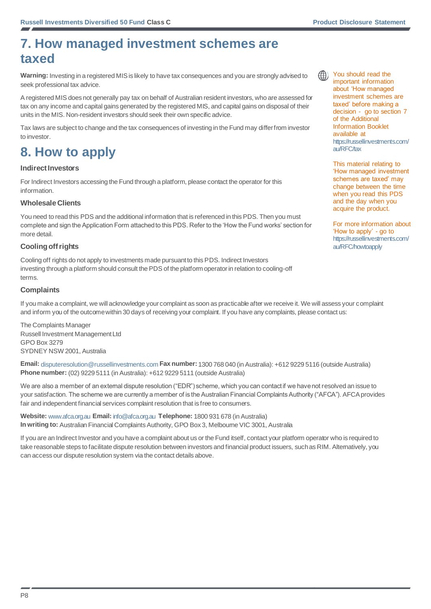### **7. How managed investment schemes are taxed**

**Warning:** Investing in a registered MIS is likely to have tax consequences and you are strongly advised to seek professional tax advice.

A registered MIS does not generally pay tax on behalf of Australian resident investors, who are assessed for tax on any income and capital gains generated by the registered MIS, and capital gains on disposal of their units in the MIS. Non-resident investors should seek their own specific advice.

Tax laws are subject to change and the tax consequences of investing in the Fund may differ from investor to investor.

### **8. How to apply**

### **Indirect Investors**

For Indirect Investors accessing the Fund through a platform, please contact the operator for this information.

### **Wholesale Clients**

You need to read this PDS and the additional information that is referenced in this PDS. Then you must complete and sign the Application Form attached to this PDS. Refer to the 'How the Fund works' section for more detail.

### **Cooling off rights**

Cooling off rights do not apply to investments made pursuant to this PDS. Indirect Investors investing through a platform should consult the PDS of the platform operator in relation to cooling-off terms.

### **Complaints**

If you make a complaint, we will acknowledge your complaint as soon as practicable after we receive it. We will assess your complaint and inform you of the outcome within 30 days of receiving your complaint. If you have any complaints, please contact us:

The Complaints Manager Russell Investment Management Ltd GPO Box 3279 SYDNEY NSW 2001, Australia

**Email:** [disputeresolution@russellinvestments.com](mailto:disputeresolution@russellinvestments.com) **Fax number:** 1300 768 040 (in Australia): +612 9229 5116 (outside Australia) **Phone number:** (02) 9229 5111 (in Australia): +612 9229 5111 (outside Australia)

We are also a member of an external dispute resolution ("EDR") scheme, which you can contact if we have not resolved an issue to your satisfaction. The scheme we are currently a member of is the Australian Financial Complaints Authority ("AFCA"). AFCA provides fair and independent financial services complaint resolution that is free to consumers.

**Website:** [www.afca.org.au](https://www.afca.org.au/) **Email:** [info@afca.org.au](mailto:info@afca.org.au) **Telephone:** 1800 931 678 (in Australia) **In writing to:** Australian Financial Complaints Authority, GPO Box 3, Melbourne VIC 3001, Australia

If you are an Indirect Investor and you have a complaint about us or the Fund itself, contact your platform operator who is required to take reasonable steps to facilitate dispute resolution between investors and financial product issuers, such as RIM. Alternatively, you can access our dispute resolution system via the contact details above.



You should read the important information about 'How managed investment schemes are taxed' before making a decision - go to section 7 of the Additional Information Booklet available at [https://russellinvestments.com/](https://russellinvestments.com/au/RFC/tax) [au/RFC/tax](https://russellinvestments.com/au/RFC/tax)

This material relating to 'How managed investment schemes are taxed' may change between the time when you read this PDS and the day when you acquire the product.

For more information about 'How to apply' - go to [https://russellinvestments.com/](https://russellinvestments.com/au/RFC/howtoapply) [au/RFC/howtoapply](https://russellinvestments.com/au/RFC/howtoapply)